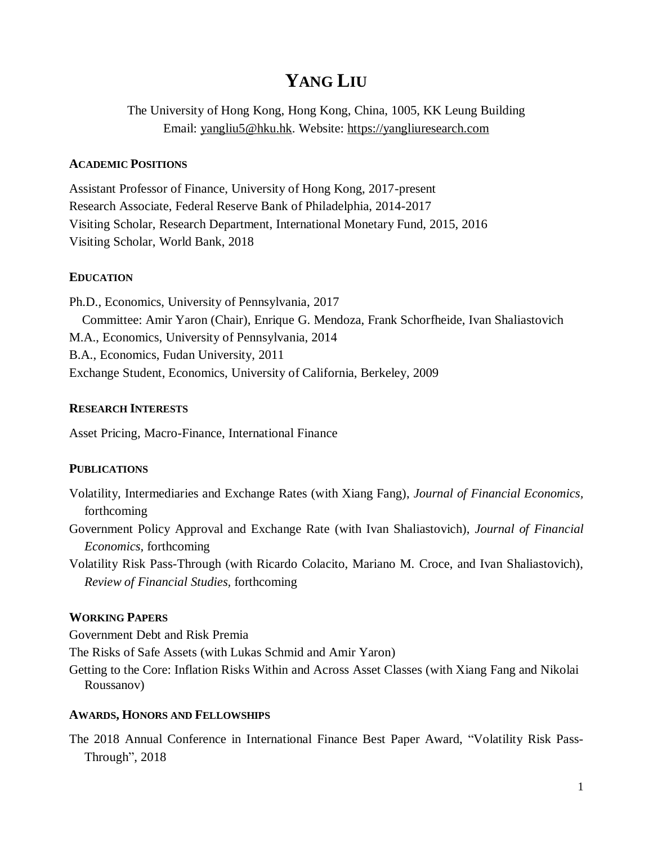# **YANG LIU**

The University of Hong Kong, Hong Kong, China, 1005, KK Leung Building Email: [yangliu5@hku.hk.](mailto:yangliu5@hku.hk) Website: [https://yangliuresearch.com](https://yangliuresearch.com/)

## **ACADEMIC POSITIONS**

Assistant Professor of Finance, University of Hong Kong, 2017-present Research Associate, Federal Reserve Bank of Philadelphia, 2014-2017 Visiting Scholar, Research Department, International Monetary Fund, 2015, 2016 Visiting Scholar, World Bank, 2018

## **EDUCATION**

Ph.D., Economics, University of Pennsylvania, 2017 Committee: Amir Yaron (Chair), Enrique G. Mendoza, Frank Schorfheide, Ivan Shaliastovich M.A., Economics, University of Pennsylvania, 2014 B.A., Economics, Fudan University, 2011 Exchange Student, Economics, University of California, Berkeley, 2009

## **RESEARCH INTERESTS**

Asset Pricing, Macro-Finance, International Finance

# **PUBLICATIONS**

- Volatility, Intermediaries and Exchange Rates (with Xiang Fang), *Journal of Financial Economics,*  forthcoming
- Government Policy Approval and Exchange Rate (with Ivan Shaliastovich), *Journal of Financial Economics,* forthcoming
- Volatility Risk Pass-Through (with Ricardo Colacito, Mariano M. Croce, and Ivan Shaliastovich), *Review of Financial Studies,* forthcoming

# **WORKING PAPERS**

Government Debt and Risk Premia

The Risks of Safe Assets (with Lukas Schmid and Amir Yaron)

Getting to the Core: Inflation Risks Within and Across Asset Classes (with Xiang Fang and Nikolai Roussanov)

# **AWARDS, HONORS AND FELLOWSHIPS**

The 2018 Annual Conference in International Finance Best Paper Award, "Volatility Risk Pass-Through", 2018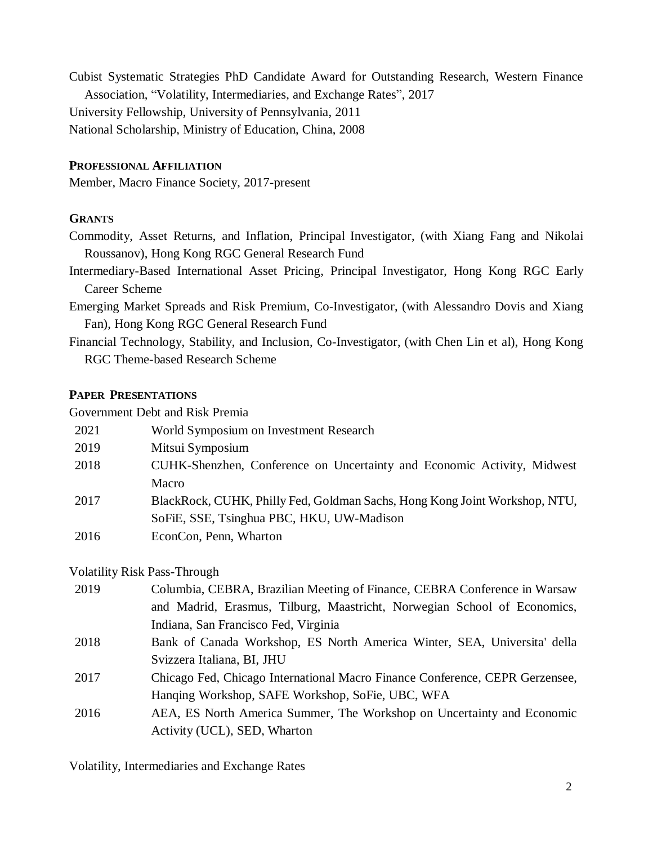Cubist Systematic Strategies PhD Candidate Award for Outstanding Research, Western Finance Association, "Volatility, Intermediaries, and Exchange Rates", 2017 University Fellowship, University of Pennsylvania, 2011 National Scholarship, Ministry of Education, China, 2008

## **PROFESSIONAL AFFILIATION**

Member, Macro Finance Society, 2017-present

#### **GRANTS**

Commodity, Asset Returns, and Inflation, Principal Investigator, (with Xiang Fang and Nikolai Roussanov), Hong Kong RGC General Research Fund

- Intermediary-Based International Asset Pricing, Principal Investigator, Hong Kong RGC Early Career Scheme
- Emerging Market Spreads and Risk Premium, Co-Investigator, (with Alessandro Dovis and Xiang Fan), Hong Kong RGC General Research Fund
- Financial Technology, Stability, and Inclusion, Co-Investigator, (with Chen Lin et al), Hong Kong RGC Theme-based Research Scheme

#### **PAPER PRESENTATIONS**

Government Debt and Risk Premia

| 2021 | World Symposium on Investment Research                                     |
|------|----------------------------------------------------------------------------|
| 2019 | Mitsui Symposium                                                           |
| 2018 | CUHK-Shenzhen, Conference on Uncertainty and Economic Activity, Midwest    |
|      | <b>Macro</b>                                                               |
| 2017 | BlackRock, CUHK, Philly Fed, Goldman Sachs, Hong Kong Joint Workshop, NTU, |
|      | SoFiE, SSE, Tsinghua PBC, HKU, UW-Madison                                  |
| 2016 | EconCon, Penn, Wharton                                                     |

## Volatility Risk Pass-Through

| 2019 | Columbia, CEBRA, Brazilian Meeting of Finance, CEBRA Conference in Warsaw    |
|------|------------------------------------------------------------------------------|
|      | and Madrid, Erasmus, Tilburg, Maastricht, Norwegian School of Economics,     |
|      | Indiana, San Francisco Fed, Virginia                                         |
| 2018 | Bank of Canada Workshop, ES North America Winter, SEA, Universita' della     |
|      | Svizzera Italiana, BI, JHU                                                   |
| 2017 | Chicago Fed, Chicago International Macro Finance Conference, CEPR Gerzensee, |
|      | Hanging Workshop, SAFE Workshop, SoFie, UBC, WFA                             |
| 2016 | AEA, ES North America Summer, The Workshop on Uncertainty and Economic       |
|      | Activity (UCL), SED, Wharton                                                 |

Volatility, Intermediaries and Exchange Rates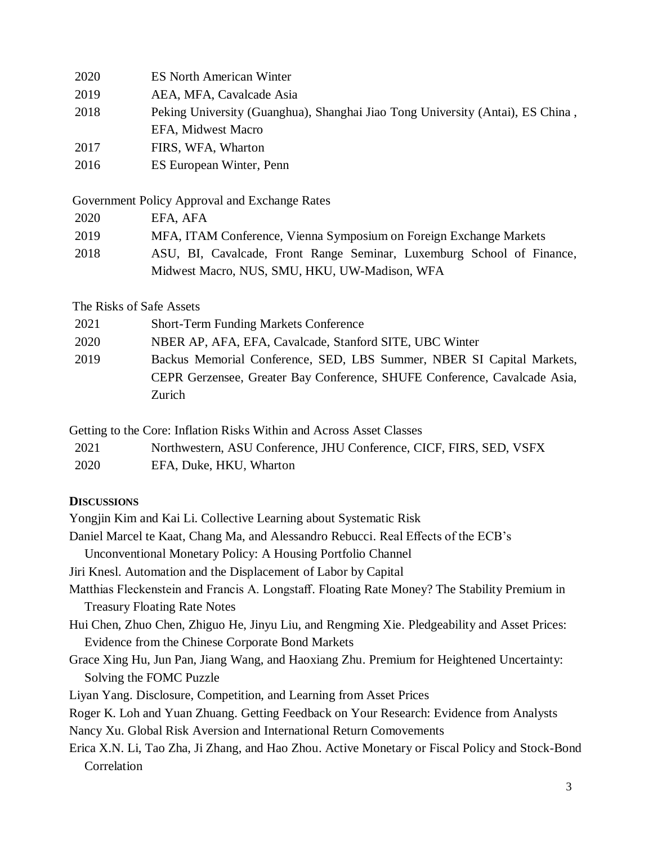| 2020 | <b>ES North American Winter</b>                                                |
|------|--------------------------------------------------------------------------------|
| 2019 | AEA, MFA, Cavalcade Asia                                                       |
| 2018 | Peking University (Guanghua), Shanghai Jiao Tong University (Antai), ES China, |
|      | EFA, Midwest Macro                                                             |
| 2017 | FIRS, WFA, Wharton                                                             |
| 2016 | ES European Winter, Penn                                                       |

Government Policy Approval and Exchange Rates

| 2020                                          | EFA, AFA                                                              |  |  |
|-----------------------------------------------|-----------------------------------------------------------------------|--|--|
| 2019                                          | MFA, ITAM Conference, Vienna Symposium on Foreign Exchange Markets    |  |  |
| 2018                                          | ASU, BI, Cavalcade, Front Range Seminar, Luxemburg School of Finance, |  |  |
| Midwest Macro, NUS, SMU, HKU, UW-Madison, WFA |                                                                       |  |  |

The Risks of Safe Assets

| 2021 | <b>Short-Term Funding Markets Conference</b>                              |
|------|---------------------------------------------------------------------------|
| 2020 | NBER AP, AFA, EFA, Cavalcade, Stanford SITE, UBC Winter                   |
| 2019 | Backus Memorial Conference, SED, LBS Summer, NBER SI Capital Markets,     |
|      | CEPR Gerzensee, Greater Bay Conference, SHUFE Conference, Cavalcade Asia, |
|      | Zurich                                                                    |

Getting to the Core: Inflation Risks Within and Across Asset Classes

| Northwestern, ASU Conference, JHU Conference, CICF, FIRS, SED, VSFX<br>2021 |
|-----------------------------------------------------------------------------|
|-----------------------------------------------------------------------------|

| 2020 | EFA, Duke, HKU, Wharton |  |  |
|------|-------------------------|--|--|
|------|-------------------------|--|--|

## **DISCUSSIONS**

Yongjin Kim and Kai Li. Collective Learning about Systematic Risk Daniel Marcel te Kaat, Chang Ma, and Alessandro Rebucci. Real Effects of the ECB's Unconventional Monetary Policy: A Housing Portfolio Channel Jiri Knesl. Automation and the Displacement of Labor by Capital Matthias Fleckenstein and Francis A. Longstaff. Floating Rate Money? The Stability Premium in Treasury Floating Rate Notes Hui Chen, Zhuo Chen, Zhiguo He, Jinyu Liu, and Rengming Xie. Pledgeability and Asset Prices: Evidence from the Chinese Corporate Bond Markets Grace Xing Hu, Jun Pan, Jiang Wang, and Haoxiang Zhu. Premium for Heightened Uncertainty: Solving the FOMC Puzzle Liyan Yang. Disclosure, Competition, and Learning from Asset Prices Roger K. Loh and Yuan Zhuang. Getting Feedback on Your Research: Evidence from Analysts Nancy Xu. Global Risk Aversion and International Return Comovements Erica X.N. Li, Tao Zha, Ji Zhang, and Hao Zhou. Active Monetary or Fiscal Policy and Stock-Bond Correlation